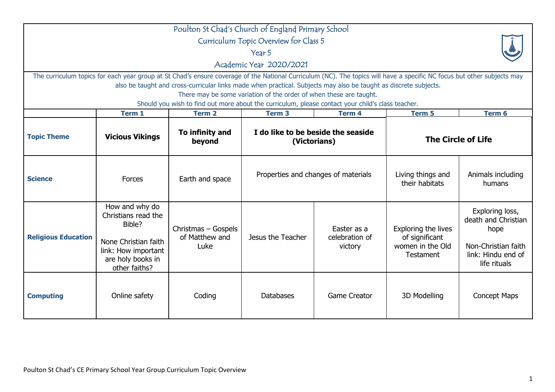| Poulton St Chad's Church of England Primary School                                                                                                                                                                                                                                                                                                                |                                                                                                                                      |                                                                                                   |                                                    |                                          |                                                                               |                                                                                                             |  |  |
|-------------------------------------------------------------------------------------------------------------------------------------------------------------------------------------------------------------------------------------------------------------------------------------------------------------------------------------------------------------------|--------------------------------------------------------------------------------------------------------------------------------------|---------------------------------------------------------------------------------------------------|----------------------------------------------------|------------------------------------------|-------------------------------------------------------------------------------|-------------------------------------------------------------------------------------------------------------|--|--|
| Curriculum Topic Overview for Class 5                                                                                                                                                                                                                                                                                                                             |                                                                                                                                      |                                                                                                   |                                                    |                                          |                                                                               |                                                                                                             |  |  |
| Year 5                                                                                                                                                                                                                                                                                                                                                            |                                                                                                                                      |                                                                                                   |                                                    |                                          |                                                                               |                                                                                                             |  |  |
|                                                                                                                                                                                                                                                                                                                                                                   | Academic Year 2020/2021                                                                                                              |                                                                                                   |                                                    |                                          |                                                                               |                                                                                                             |  |  |
| The curriculum topics for each year group at St Chad's ensure coverage of the National Curriculum (NC). The topics will have a specific NC focus but other subjects may<br>also be taught and cross-curricular links made when practical. Subjects may also be taught as discrete subjects.<br>There may be some variation of the order of when these are taught. |                                                                                                                                      |                                                                                                   |                                                    |                                          |                                                                               |                                                                                                             |  |  |
|                                                                                                                                                                                                                                                                                                                                                                   |                                                                                                                                      | Should you wish to find out more about the curriculum, please contact your child's class teacher. |                                                    |                                          |                                                                               |                                                                                                             |  |  |
|                                                                                                                                                                                                                                                                                                                                                                   | Term 1                                                                                                                               | <b>Term 2</b>                                                                                     | <b>Term 3</b>                                      | <b>Term 4</b>                            | Term 5                                                                        | Term 6                                                                                                      |  |  |
| <b>Topic Theme</b>                                                                                                                                                                                                                                                                                                                                                | <b>Vicious Vikings</b>                                                                                                               | To infinity and<br>beyond                                                                         | I do like to be beside the seaside<br>(Victorians) |                                          | <b>The Circle of Life</b>                                                     |                                                                                                             |  |  |
| <b>Science</b>                                                                                                                                                                                                                                                                                                                                                    | Forces                                                                                                                               | Earth and space                                                                                   | Properties and changes of materials                |                                          | Living things and<br>their habitats                                           | Animals including<br>humans                                                                                 |  |  |
| <b>Religious Education</b>                                                                                                                                                                                                                                                                                                                                        | How and why do<br>Christians read the<br>Bible?<br>None Christian faith<br>link: How important<br>are holy books in<br>other faiths? | Christmas - Gospels<br>of Matthew and<br>Luke                                                     | Jesus the Teacher                                  | Easter as a<br>celebration of<br>victory | Exploring the lives<br>of significant<br>women in the Old<br><b>Testament</b> | Exploring loss,<br>death and Christian<br>hope<br>Non-Christian faith<br>link: Hindu end of<br>life rituals |  |  |
| <b>Computing</b>                                                                                                                                                                                                                                                                                                                                                  | Online safety                                                                                                                        | Coding                                                                                            | <b>Databases</b>                                   | <b>Game Creator</b>                      | 3D Modelling                                                                  | <b>Concept Maps</b>                                                                                         |  |  |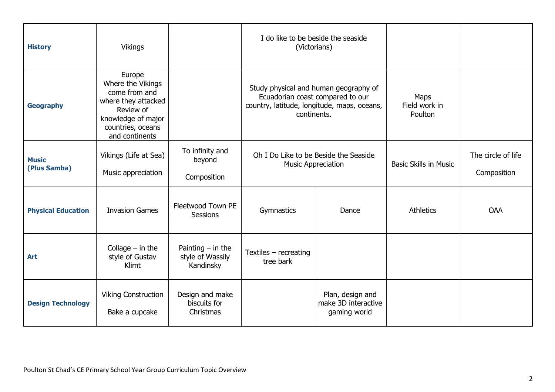| <b>History</b>               | <b>Vikings</b>                                                                                                                                |                                                      | I do like to be beside the seaside                                                                                                      | (Victorians)                                            |                                  |                                   |
|------------------------------|-----------------------------------------------------------------------------------------------------------------------------------------------|------------------------------------------------------|-----------------------------------------------------------------------------------------------------------------------------------------|---------------------------------------------------------|----------------------------------|-----------------------------------|
| <b>Geography</b>             | Europe<br>Where the Vikings<br>come from and<br>where they attacked<br>Review of<br>knowledge of major<br>countries, oceans<br>and continents |                                                      | Study physical and human geography of<br>Ecuadorian coast compared to our<br>country, latitude, longitude, maps, oceans,<br>continents. |                                                         | Maps<br>Field work in<br>Poulton |                                   |
| <b>Music</b><br>(Plus Samba) | Vikings (Life at Sea)<br>Music appreciation                                                                                                   | To infinity and<br>beyond<br>Composition             | Oh I Do Like to be Beside the Seaside<br><b>Music Appreciation</b>                                                                      |                                                         | <b>Basic Skills in Music</b>     | The circle of life<br>Composition |
| <b>Physical Education</b>    | <b>Invasion Games</b>                                                                                                                         | Fleetwood Town PE<br><b>Sessions</b>                 | Gymnastics                                                                                                                              | Dance                                                   | <b>Athletics</b>                 | <b>OAA</b>                        |
| Art                          | Collage $-$ in the<br>style of Gustav<br>Klimt                                                                                                | Painting $-$ in the<br>style of Wassily<br>Kandinsky | Textiles - recreating<br>tree bark                                                                                                      |                                                         |                                  |                                   |
| <b>Design Technology</b>     | <b>Viking Construction</b><br>Bake a cupcake                                                                                                  | Design and make<br>biscuits for<br>Christmas         |                                                                                                                                         | Plan, design and<br>make 3D interactive<br>gaming world |                                  |                                   |